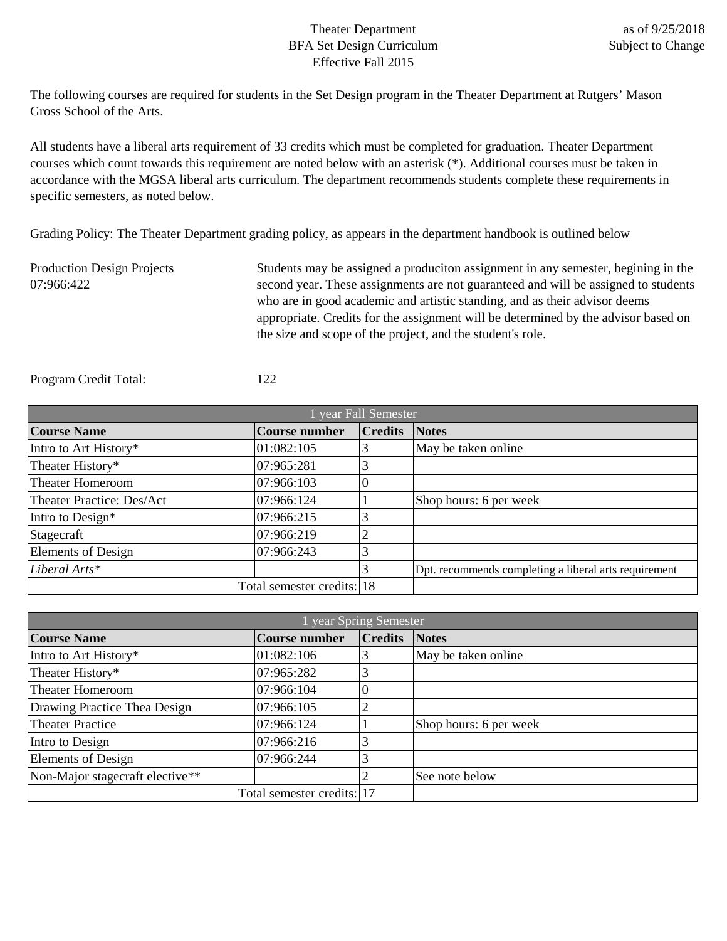## Theater Department BFA Set Design Curriculum Effective Fall 2015

The following courses are required for students in the Set Design program in the Theater Department at Rutgers' Mason Gross School of the Arts.

All students have a liberal arts requirement of 33 credits which must be completed for graduation. Theater Department courses which count towards this requirement are noted below with an asterisk (\*). Additional courses must be taken in accordance with the MGSA liberal arts curriculum. The department recommends students complete these requirements in specific semesters, as noted below.

Grading Policy: The Theater Department grading policy, as appears in the department handbook is outlined below

Production Design Projects 07:966:422 Students may be assigned a produciton assignment in any semester, begining in the second year. These assignments are not guaranteed and will be assigned to students who are in good academic and artistic standing, and as their advisor deems appropriate. Credits for the assignment will be determined by the advisor based on the size and scope of the project, and the student's role.

Program Credit Total: 122

| l year Fall Semester       |                      |                      |                                                       |  |
|----------------------------|----------------------|----------------------|-------------------------------------------------------|--|
| <b>Course Name</b>         | <b>Course number</b> | <b>Credits Notes</b> |                                                       |  |
| Intro to Art History*      | 01:082:105           |                      | May be taken online                                   |  |
| Theater History*           | 07:965:281           |                      |                                                       |  |
| <b>Theater Homeroom</b>    | 07:966:103           |                      |                                                       |  |
| Theater Practice: Des/Act  | 07:966:124           |                      | Shop hours: 6 per week                                |  |
| Intro to Design*           | 07:966:215           |                      |                                                       |  |
| Stagecraft                 | 07:966:219           | ⌒                    |                                                       |  |
| <b>Elements of Design</b>  | 07:966:243           |                      |                                                       |  |
| Liberal Arts*              |                      |                      | Dpt. recommends completing a liberal arts requirement |  |
| Total semester credits: 18 |                      |                      |                                                       |  |

| year Spring Semester            |                      |                |                        |
|---------------------------------|----------------------|----------------|------------------------|
| <b>Course Name</b>              | <b>Course number</b> | <b>Credits</b> | <b>Notes</b>           |
| Intro to Art History*           | 01:082:106           |                | May be taken online    |
| Theater History*                | 07:965:282           |                |                        |
| Theater Homeroom                | 07:966:104           |                |                        |
| Drawing Practice Thea Design    | 07:966:105           |                |                        |
| <b>Theater Practice</b>         | 07:966:124           |                | Shop hours: 6 per week |
| Intro to Design                 | 07:966:216           |                |                        |
| <b>Elements of Design</b>       | 07:966:244           |                |                        |
| Non-Major stagecraft elective** |                      |                | See note below         |
| Total semester credits: 17      |                      |                |                        |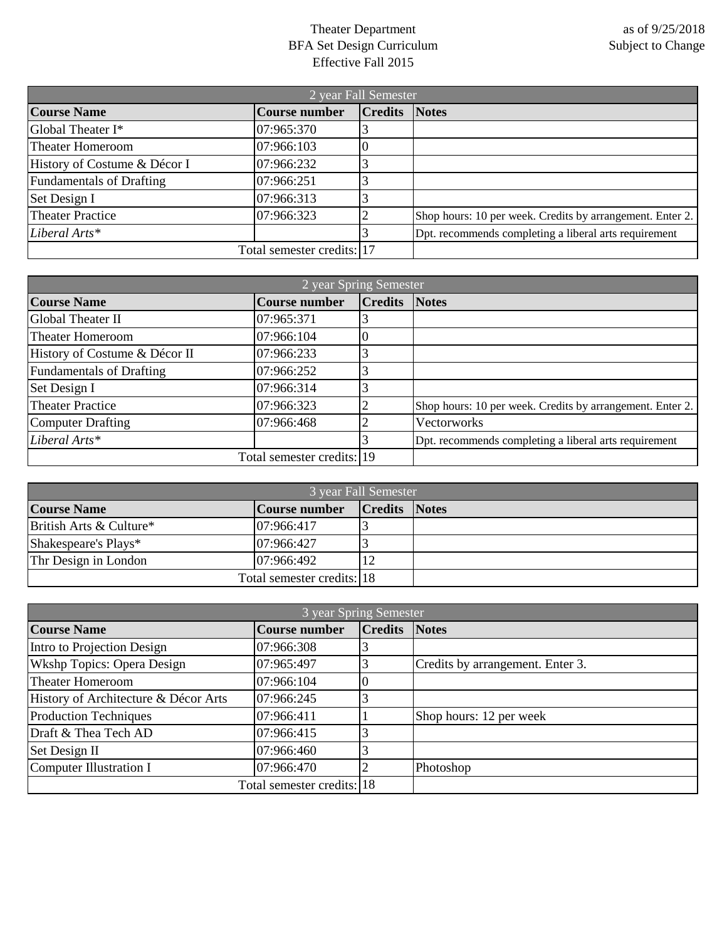## Theater Department BFA Set Design Curriculum Effective Fall 2015

| 2 year Fall Semester            |                      |                      |                                                           |
|---------------------------------|----------------------|----------------------|-----------------------------------------------------------|
| <b>Course Name</b>              | <b>Course number</b> | <b>Credits Notes</b> |                                                           |
| Global Theater I*               | 07:965:370           |                      |                                                           |
| <b>Theater Homeroom</b>         | 07:966:103           |                      |                                                           |
| History of Costume & Décor I    | 07:966:232           |                      |                                                           |
| <b>Fundamentals of Drafting</b> | 07:966:251           |                      |                                                           |
| Set Design I                    | 07:966:313           |                      |                                                           |
| <b>Theater Practice</b>         | 07:966:323           |                      | Shop hours: 10 per week. Credits by arrangement. Enter 2. |
| Liberal Arts*                   |                      |                      | Dpt. recommends completing a liberal arts requirement     |
| Total semester credits: 17      |                      |                      |                                                           |

| 2 year Spring Semester          |                      |                      |                                                           |
|---------------------------------|----------------------|----------------------|-----------------------------------------------------------|
| <b>Course Name</b>              | <b>Course number</b> | <b>Credits</b> Notes |                                                           |
| Global Theater II               | 07:965:371           |                      |                                                           |
| <b>Theater Homeroom</b>         | 07:966:104           |                      |                                                           |
| History of Costume & Décor II   | 07:966:233           |                      |                                                           |
| <b>Fundamentals of Drafting</b> | 07:966:252           |                      |                                                           |
| Set Design I                    | 07:966:314           |                      |                                                           |
| <b>Theater Practice</b>         | 07:966:323           |                      | Shop hours: 10 per week. Credits by arrangement. Enter 2. |
| <b>Computer Drafting</b>        | 07:966:468           |                      | Vectorworks                                               |
| Liberal Arts*                   |                      |                      | Dpt. recommends completing a liberal arts requirement     |
| Total semester credits: 19      |                      |                      |                                                           |

| 3 year Fall Semester       |               |                      |  |
|----------------------------|---------------|----------------------|--|
| <b>Course Name</b>         | Course number | <b>Credits Notes</b> |  |
| British Arts & Culture*    | 07:966:417    |                      |  |
| Shakespeare's Plays*       | 07:966:427    |                      |  |
| Thr Design in London       | 07:966:492    |                      |  |
| Total semester credits: 18 |               |                      |  |

| 3 year Spring Semester               |                      |                |                                  |
|--------------------------------------|----------------------|----------------|----------------------------------|
| <b>Course Name</b>                   | <b>Course number</b> | <b>Credits</b> | <b>Notes</b>                     |
| Intro to Projection Design           | 07:966:308           |                |                                  |
| <b>Wkshp Topics: Opera Design</b>    | 07:965:497           |                | Credits by arrangement. Enter 3. |
| Theater Homeroom                     | 07:966:104           |                |                                  |
| History of Architecture & Décor Arts | 07:966:245           |                |                                  |
| <b>Production Techniques</b>         | 07:966:411           |                | Shop hours: 12 per week          |
| Draft & Thea Tech AD                 | 07:966:415           |                |                                  |
| Set Design II                        | 07:966:460           |                |                                  |
| Computer Illustration I              | 07:966:470           |                | Photoshop                        |
| Total semester credits: 18           |                      |                |                                  |